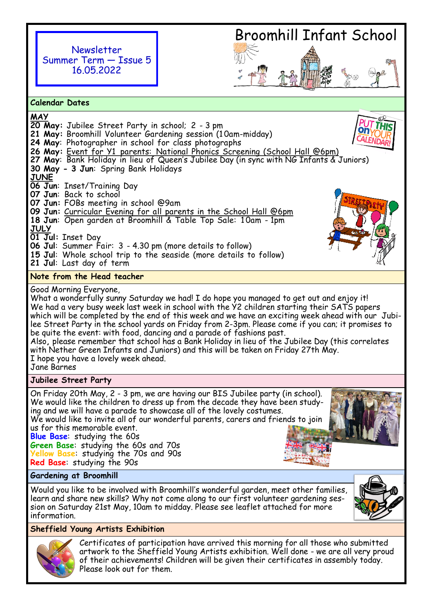Newsletter Summer Term — Issue 5 16.05.2022

# Broomhill Infant School